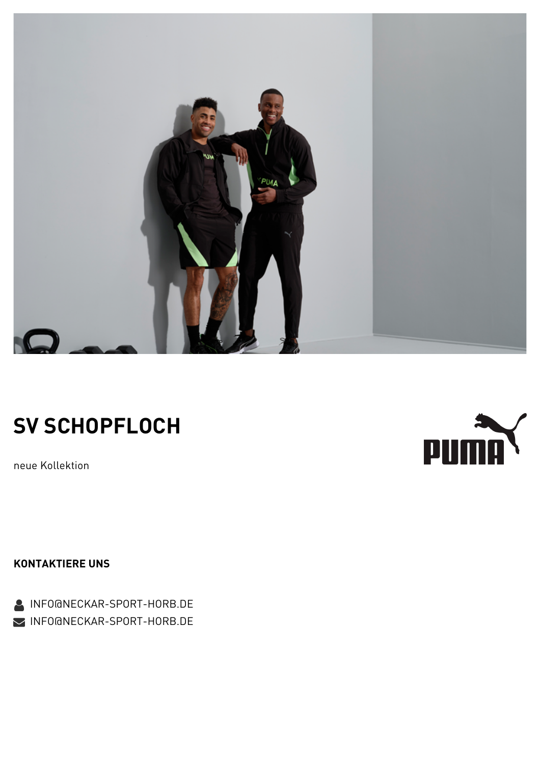

## **SV SCHOPFLOCH**

neue Kollektion

**KONTAKTIERE UNS**

**INFO@NECKAR-SPORT-HORB.DE INFO@NECKAR-SPORT-HORB.DE** 

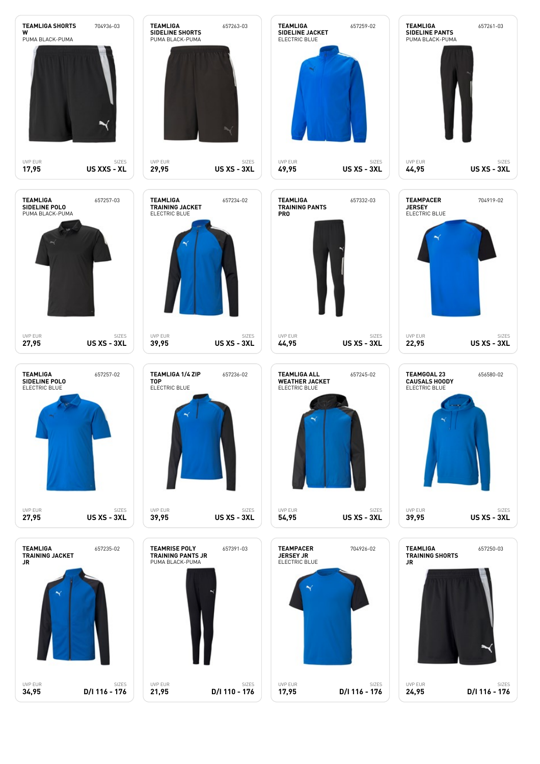